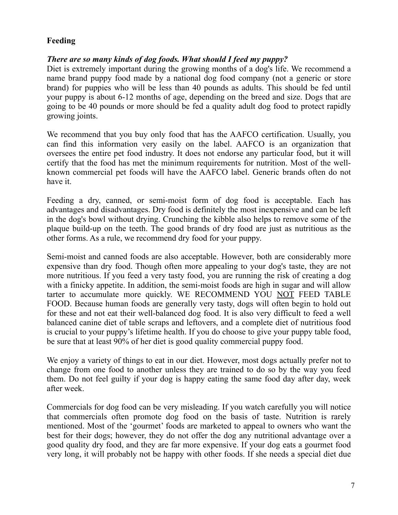## **Feeding**

## *There are so many kinds of dog foods. What should I feed my puppy?*

Diet is extremely important during the growing months of a dog's life. We recommend a name brand puppy food made by a national dog food company (not a generic or store brand) for puppies who will be less than 40 pounds as adults. This should be fed until your puppy is about 6-12 months of age, depending on the breed and size. Dogs that are going to be 40 pounds or more should be fed a quality adult dog food to protect rapidly growing joints.

We recommend that you buy only food that has the AAFCO certification. Usually, you can find this information very easily on the label. AAFCO is an organization that oversees the entire pet food industry. It does not endorse any particular food, but it will certify that the food has met the minimum requirements for nutrition. Most of the wellknown commercial pet foods will have the AAFCO label. Generic brands often do not have it.

Feeding a dry, canned, or semi-moist form of dog food is acceptable. Each has advantages and disadvantages. Dry food is definitely the most inexpensive and can be left in the dog's bowl without drying. Crunching the kibble also helps to remove some of the plaque build-up on the teeth. The good brands of dry food are just as nutritious as the other forms. As a rule, we recommend dry food for your puppy.

Semi-moist and canned foods are also acceptable. However, both are considerably more expensive than dry food. Though often more appealing to your dog's taste, they are not more nutritious. If you feed a very tasty food, you are running the risk of creating a dog with a finicky appetite. In addition, the semi-moist foods are high in sugar and will allow tarter to accumulate more quickly. WE RECOMMEND YOU NOT FEED TABLE FOOD. Because human foods are generally very tasty, dogs will often begin to hold out for these and not eat their well-balanced dog food. It is also very difficult to feed a well balanced canine diet of table scraps and leftovers, and a complete diet of nutritious food is crucial to your puppy's lifetime health. If you do choose to give your puppy table food, be sure that at least 90% of her diet is good quality commercial puppy food.

We enjoy a variety of things to eat in our diet. However, most dogs actually prefer not to change from one food to another unless they are trained to do so by the way you feed them. Do not feel guilty if your dog is happy eating the same food day after day, week after week.

Commercials for dog food can be very misleading. If you watch carefully you will notice that commercials often promote dog food on the basis of taste. Nutrition is rarely mentioned. Most of the 'gourmet' foods are marketed to appeal to owners who want the best for their dogs; however, they do not offer the dog any nutritional advantage over a good quality dry food, and they are far more expensive. If your dog eats a gourmet food very long, it will probably not be happy with other foods. If she needs a special diet due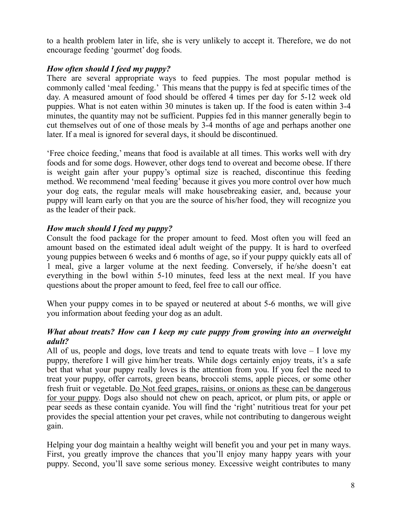to a health problem later in life, she is very unlikely to accept it. Therefore, we do not encourage feeding 'gourmet' dog foods.

# *How often should I feed my puppy?*

There are several appropriate ways to feed puppies. The most popular method is commonly called 'meal feeding.' This means that the puppy is fed at specific times of the day. A measured amount of food should be offered 4 times per day for 5-12 week old puppies. What is not eaten within 30 minutes is taken up. If the food is eaten within 3-4 minutes, the quantity may not be sufficient. Puppies fed in this manner generally begin to cut themselves out of one of those meals by 3-4 months of age and perhaps another one later. If a meal is ignored for several days, it should be discontinued.

'Free choice feeding,' means that food is available at all times. This works well with dry foods and for some dogs. However, other dogs tend to overeat and become obese. If there is weight gain after your puppy's optimal size is reached, discontinue this feeding method. We recommend 'meal feeding' because it gives you more control over how much your dog eats, the regular meals will make housebreaking easier, and, because your puppy will learn early on that you are the source of his/her food, they will recognize you as the leader of their pack.

# *How much should I feed my puppy?*

Consult the food package for the proper amount to feed. Most often you will feed an amount based on the estimated ideal adult weight of the puppy. It is hard to overfeed young puppies between 6 weeks and 6 months of age, so if your puppy quickly eats all of 1 meal, give a larger volume at the next feeding. Conversely, if he/she doesn't eat everything in the bowl within 5-10 minutes, feed less at the next meal. If you have questions about the proper amount to feed, feel free to call our office.

When your puppy comes in to be spayed or neutered at about 5-6 months, we will give you information about feeding your dog as an adult.

## *What about treats? How can I keep my cute puppy from growing into an overweight adult?*

All of us, people and dogs, love treats and tend to equate treats with love – I love my puppy, therefore I will give him/her treats. While dogs certainly enjoy treats, it's a safe bet that what your puppy really loves is the attention from you. If you feel the need to treat your puppy, offer carrots, green beans, broccoli stems, apple pieces, or some other fresh fruit or vegetable. Do Not feed grapes, raisins, or onions as these can be dangerous for your puppy. Dogs also should not chew on peach, apricot, or plum pits, or apple or pear seeds as these contain cyanide. You will find the 'right' nutritious treat for your pet provides the special attention your pet craves, while not contributing to dangerous weight gain.

Helping your dog maintain a healthy weight will benefit you and your pet in many ways. First, you greatly improve the chances that you'll enjoy many happy years with your puppy. Second, you'll save some serious money. Excessive weight contributes to many